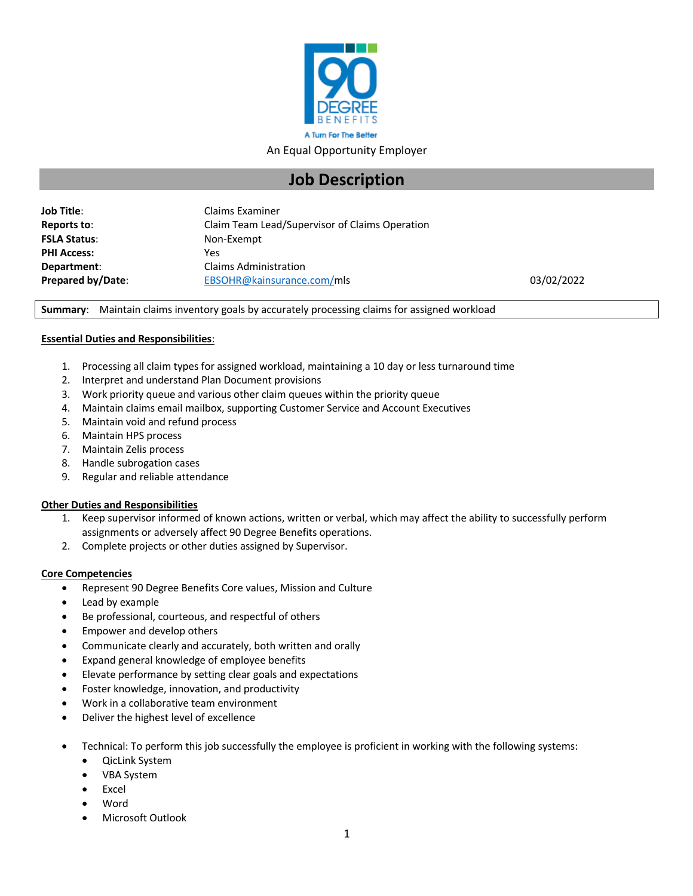

An Equal Opportunity Employer

# **Job Description**

| <b>Job Title:</b>        | Claims Examiner                                |            |
|--------------------------|------------------------------------------------|------------|
| Reports to:              | Claim Team Lead/Supervisor of Claims Operation |            |
| <b>FSLA Status:</b>      | Non-Exempt                                     |            |
| <b>PHI Access:</b>       | Yes                                            |            |
| Department:              | Claims Administration                          |            |
| <b>Prepared by/Date:</b> | EBSOHR@kainsurance.com/mls                     | 03/02/2022 |

**Summary**: Maintain claims inventory goals by accurately processing claims for assigned workload

## **Essential Duties and Responsibilities**:

- 1. Processing all claim types for assigned workload, maintaining a 10 day or less turnaround time
- 2. Interpret and understand Plan Document provisions
- 3. Work priority queue and various other claim queues within the priority queue
- 4. Maintain claims email mailbox, supporting Customer Service and Account Executives
- 5. Maintain void and refund process
- 6. Maintain HPS process
- 7. Maintain Zelis process
- 8. Handle subrogation cases
- 9. Regular and reliable attendance

## **Other Duties and Responsibilities**

- 1. Keep supervisor informed of known actions, written or verbal, which may affect the ability to successfully perform assignments or adversely affect 90 Degree Benefits operations.
- 2. Complete projects or other duties assigned by Supervisor.

### **Core Competencies**

- Represent 90 Degree Benefits Core values, Mission and Culture
- Lead by example
- Be professional, courteous, and respectful of others
- Empower and develop others
- Communicate clearly and accurately, both written and orally
- Expand general knowledge of employee benefits
- Elevate performance by setting clear goals and expectations
- Foster knowledge, innovation, and productivity
- Work in a collaborative team environment
- Deliver the highest level of excellence
- Technical: To perform this job successfully the employee is proficient in working with the following systems:
	- QicLink System
	- VBA System
	- **Excel**
	- Word
	- Microsoft Outlook